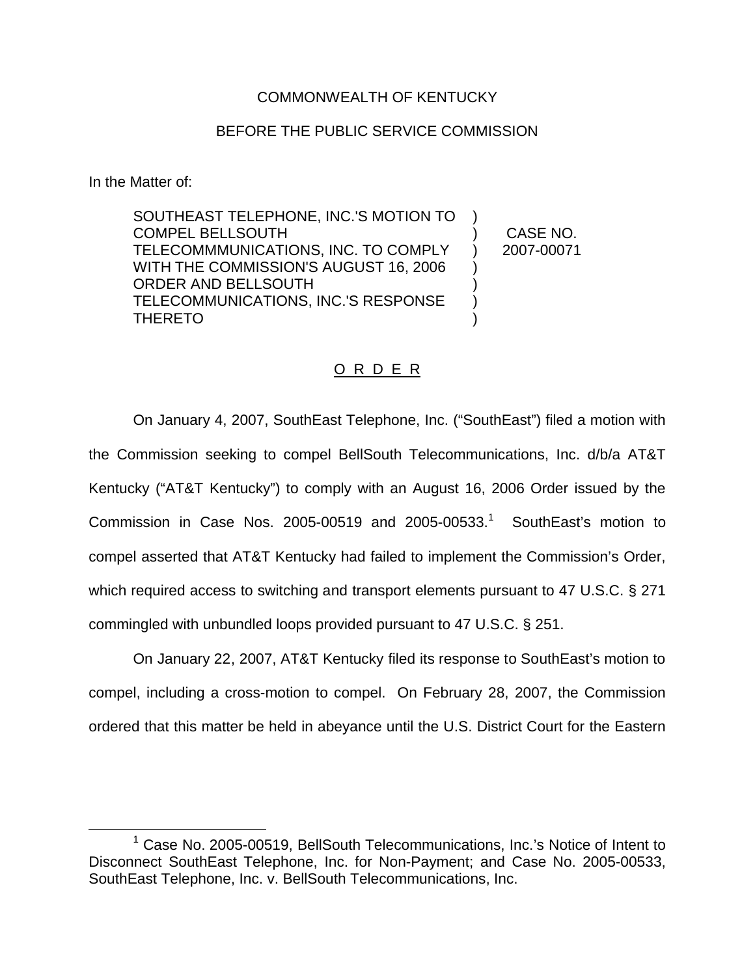## COMMONWEALTH OF KENTUCKY

## BEFORE THE PUBLIC SERVICE COMMISSION

In the Matter of:

SOUTHEAST TELEPHONE, INC.'S MOTION TO COMPEL BELLSOUTH TELECOMMMUNICATIONS, INC. TO COMPLY WITH THE COMMISSION'S AUGUST 16, 2006 ORDER AND BELLSOUTH TELECOMMUNICATIONS, INC.'S RESPONSE THERETO ) ) CASE NO. ) 2007-00071 ) ) ) )

## O R D E R

On January 4, 2007, SouthEast Telephone, Inc. ("SouthEast") filed a motion with the Commission seeking to compel BellSouth Telecommunications, Inc. d/b/a AT&T Kentucky ("AT&T Kentucky") to comply with an August 16, 2006 Order issued by the Commission in Case Nos. 2005-00519 and 2005-00533.<sup>1</sup> SouthEast's motion to compel asserted that AT&T Kentucky had failed to implement the Commission's Order, which required access to switching and transport elements pursuant to 47 U.S.C. § 271 commingled with unbundled loops provided pursuant to 47 U.S.C. § 251.

On January 22, 2007, AT&T Kentucky filed its response to SouthEast's motion to compel, including a cross-motion to compel. On February 28, 2007, the Commission ordered that this matter be held in abeyance until the U.S. District Court for the Eastern

<sup>&</sup>lt;sup>1</sup> Case No. 2005-00519, BellSouth Telecommunications, Inc.'s Notice of Intent to Disconnect SouthEast Telephone, Inc. for Non-Payment; and Case No. 2005-00533, SouthEast Telephone, Inc. v. BellSouth Telecommunications, Inc.